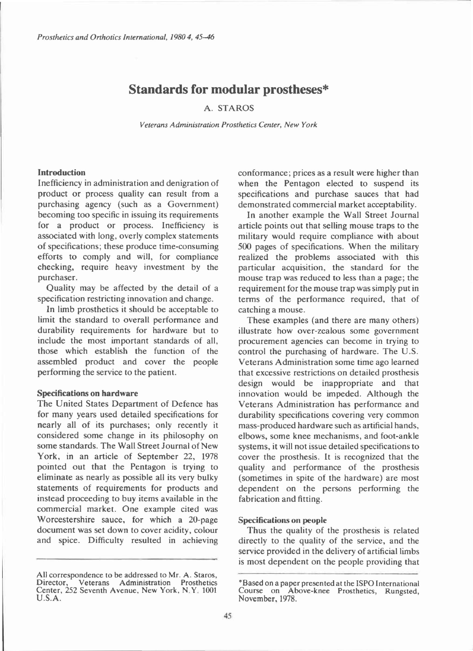# **Standards for modular prostheses\***

## A. STAROS

*Veterans Administration Prosthetics Center, New York* 

## **Introduction**

Inefficiency in administration and denigration of product or process quality can result from a purchasing agency (such as a Government) becoming too specific in issuing its requirements for a product or process. Inefficiency is associated with long, overly complex statements of specifications; these produce time-consuming efforts to comply and will, for compliance checking, require heavy investment by the purchaser.

Quality may be affected by the detail of a specification restricting innovation and change.

In limb prosthetics it should be acceptable to limit the standard to overall performance and durability requirements for hardware but to include the most important standards of all, those which establish the function of the assembled product and cover the people performing the service to the patient.

#### **Specifications on hardware**

The United States Department of Defence has for many years used detailed specifications for nearly all of its purchases; only recently it considered some change in its philosophy on some standards. The Wall Street Journal of New York, in an article of September 22, 1978 pointed out that the Pentagon is trying to eliminate as nearly as possible all its very bulky statements of requirements for products and instead proceeding to buy items available in the commercial market. One example cited was Worcestershire sauce, for which a 20-page document was set down to cover acidity, colour and spice. Difficulty resulted in achieving

conformance; prices as a result were higher than when the Pentagon elected to suspend its specifications and purchase sauces that had demonstrated commercial market acceptability.

In another example the Wall Street Journal article points out that selling mouse traps to the military would require compliance with about 500 pages of specifications. When the military realized the problems associated with this particular acquisition, the standard for the mouse trap was reduced to less than a page; the requirement for the mouse trap was simply put in terms of the performance required, that of catching a mouse.

These examples (and there are many others) illustrate how over-zealous some government procurement agencies can become in trying to control the purchasing of hardware. The U.S. Veterans Administration some time ago learned that excessive restrictions on detailed prosthesis design would be inappropriate and that innovation would be impeded. Although the Veterans Administration has performance and durability specifications covering very common mass-produced hardware such as artificial hands, elbows, some knee mechanisms, and foot-ankle systems, it will not issue detailed specifications to cover the prosthesis. It is recognized that the quality and performance of the prosthesis (sometimes in spite of the hardware) are most dependent on the persons performing the fabrication and fitting.

### **Specifications on people**

Thus the quality of the prosthesis is related directly to the quality of the service, and the service provided in the delivery of artificial limbs is most dependent on the people providing that

All correspondence to be addressed to Mr. A. Staros, Director, Veterans Administration Prosthetics<br>Center, 252 Seventh Avenue, New York, N.Y. 1001  $U.S.A.$ 

<sup>\*</sup>Based on a paper presented at the ISPO International Course on Above-knee Prosthetics, Rungsted, November, 1978.